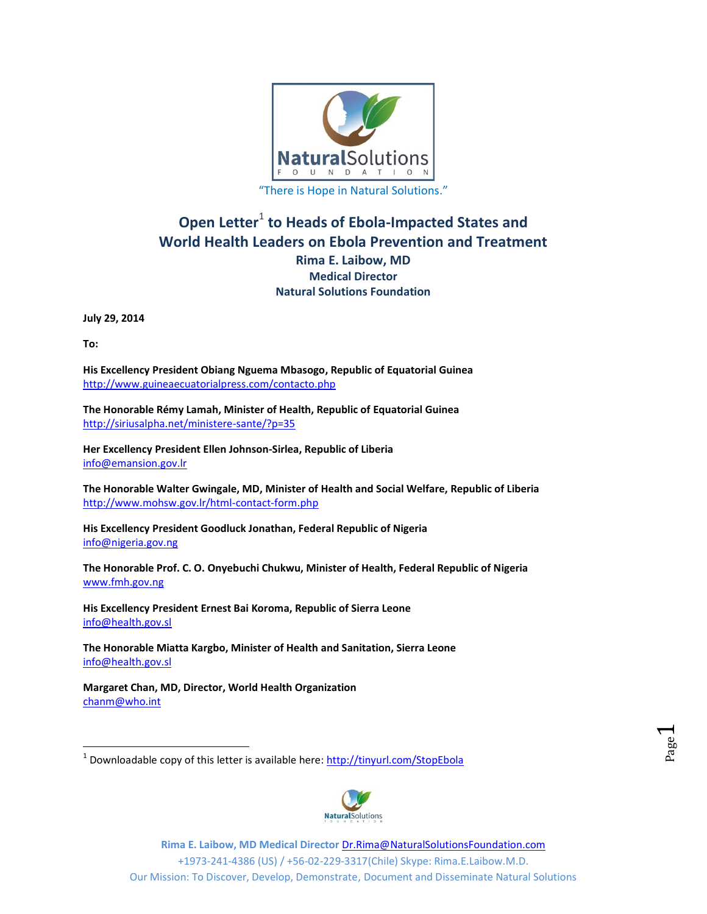

# **Open Letter<sup>1</sup> to Heads of Ebola-Impacted States and World Health Leaders on Ebola Prevention and Treatment Rima E. Laibow, MD Medical Director Natural Solutions Foundation**

**July 29, 2014**

**To:** 

 $\overline{a}$ 

**His Excellency President Obiang Nguema Mbasogo, Republic of Equatorial Guinea** <http://www.guineaecuatorialpress.com/contacto.php>

**The Honorable Rémy Lamah, Minister of Health, Republic of Equatorial Guinea** <http://siriusalpha.net/ministere-sante/?p=35>

**Her Excellency President Ellen Johnson-Sirlea, Republic of Liberia** [info@emansion.gov.lr](mailto:info@emansion.gov.lr)

**The Honorable Walter Gwingale, MD, Minister of Health and Social Welfare, Republic of Liberia** <http://www.mohsw.gov.lr/html-contact-form.php>

**His Excellency President Goodluck Jonathan, Federal Republic of Nigeria** [info@nigeria.gov.ng](mailto:info@nigeria.gov.ng) 

**The Honorable Prof. C. O. Onyebuchi Chukwu, Minister of Health, Federal Republic of Nigeria** [www.fmh.gov.ng](http://www.fmh.gov.ng/)

**His Excellency President Ernest Bai Koroma, Republic of Sierra Leone**  [info@health.gov.sl](mailto:info@health.gov.sl)

**The Honorable Miatta Kargbo, Minister of Health and Sanitation, Sierra Leone** [info@health.gov.sl](mailto:info@health.gov.sl)

**Margaret Chan, MD, Director, World Health Organization**  [chanm@who.int](mailto:chanm@who.int)

<sup>&</sup>lt;sup>1</sup> Downloadable copy of this letter is available here:<http://tinyurl.com/StopEbola>

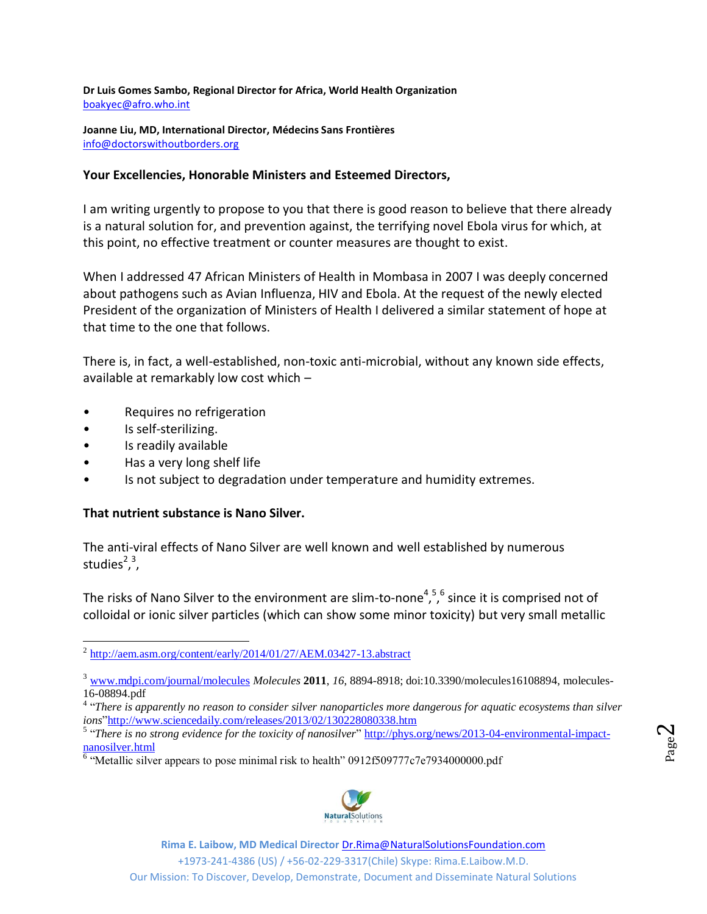**Dr Luis Gomes Sambo, Regional Director for Africa, World Health Organization** [boakyec@afro.who.int](mailto:boakyec@afro.who.int)

**Joanne Liu, MD, International Director, Médecins Sans Frontières** [info@doctorswithoutborders.org](mailto:info@doctorswithoutborders.org)

### **Your Excellencies, Honorable Ministers and Esteemed Directors,**

I am writing urgently to propose to you that there is good reason to believe that there already is a natural solution for, and prevention against, the terrifying novel Ebola virus for which, at this point, no effective treatment or counter measures are thought to exist.

When I addressed 47 African Ministers of Health in Mombasa in 2007 I was deeply concerned about pathogens such as Avian Influenza, HIV and Ebola. At the request of the newly elected President of the organization of Ministers of Health I delivered a similar statement of hope at that time to the one that follows.

There is, in fact, a well-established, non-toxic anti-microbial, without any known side effects, available at remarkably low cost which –

- Requires no refrigeration
- Is self-sterilizing.
- Is readily available
- Has a very long shelf life
- Is not subject to degradation under temperature and humidity extremes.

#### **That nutrient substance is Nano Silver.**

The anti-viral effects of Nano Silver are well known and well established by numerous studies<sup>23</sup>,

The risks of Nano Silver to the environment are slim-to-none<sup>4,5,6</sup> since it is comprised not of colloidal or ionic silver particles (which can show some minor toxicity) but very small metallic

Page  $\boldsymbol{\sim}$ 

 $6$  "Metallic silver appears to pose minimal risk to health" 0912f509777c7e7934000000.pdf



**Rima E. Laibow, MD Medical Director** [Dr.Rima@NaturalSolutionsFoundation.com](mailto:Dr.Rima@NaturalSolutionsFoundation.com) 

+1973-241-4386 (US) / +56-02-229-3317(Chile) Skype: Rima.E.Laibow.M.D.

<sup>&</sup>lt;sup>2</sup> <http://aem.asm.org/content/early/2014/01/27/AEM.03427-13.abstract>

<sup>&</sup>lt;sup>3</sup> [www.mdpi.com/journal/molecules](http://www.mdpi.com/journal/molecules) *Molecules* **2011**, *16*, 8894-8918; doi:10.3390/molecules16108894, molecules-16-08894.pdf

<sup>4</sup> "*There is apparently no reason to consider silver nanoparticles more dangerous for aquatic ecosystems than silver ions*["http://www.sciencedaily.com/releases/2013/02/130228080338.htm](http://www.sciencedaily.com/releases/2013/02/130228080338.htm)

<sup>&</sup>lt;sup>5</sup> "There is no strong evidence for the toxicity of nanosilver" [http://phys.org/news/2013-04-environmental-impact](http://phys.org/news/2013-04-environmental-impact-nanosilver.html)[nanosilver.html](http://phys.org/news/2013-04-environmental-impact-nanosilver.html)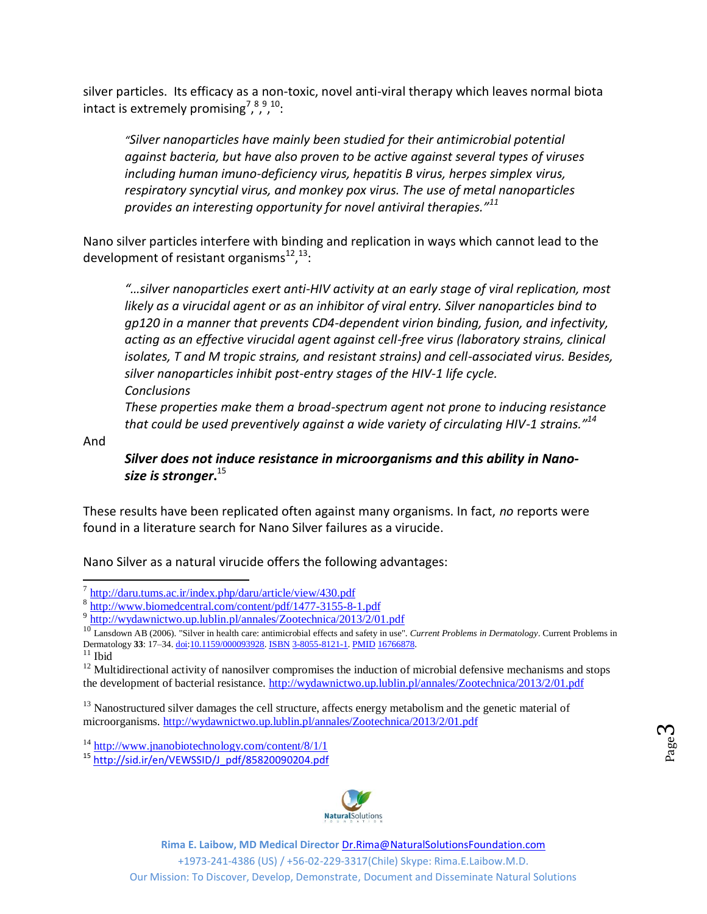silver particles. Its efficacy as a non-toxic, novel anti-viral therapy which leaves normal biota intact is extremely promising<sup>7,8910</sup>:

*"Silver nanoparticles have mainly been studied for their antimicrobial potential against bacteria, but have also proven to be active against several types of viruses including human imuno-deficiency virus, hepatitis B virus, herpes simplex virus, respiratory syncytial virus, and monkey pox virus. The use of metal nanoparticles provides an interesting opportunity for novel antiviral therapies."<sup>11</sup>*

Nano silver particles interfere with binding and replication in ways which cannot lead to the development of resistant organisms $^{12}$ ,  $^{13}$ :

*"…silver nanoparticles exert anti-HIV activity at an early stage of viral replication, most likely as a virucidal agent or as an inhibitor of viral entry. Silver nanoparticles bind to gp120 in a manner that prevents CD4-dependent virion binding, fusion, and infectivity, acting as an effective virucidal agent against cell-free virus (laboratory strains, clinical isolates, T and M tropic strains, and resistant strains) and cell-associated virus. Besides, silver nanoparticles inhibit post-entry stages of the HIV-1 life cycle. Conclusions*

*These properties make them a broad-spectrum agent not prone to inducing resistance that could be used preventively against a wide variety of circulating HIV-1 strains."<sup>14</sup>*

And

*Silver does not induce resistance in microorganisms and this ability in Nanosize is stronger***.** 15

These results have been replicated often against many organisms. In fact, *no* reports were found in a literature search for Nano Silver failures as a virucide.

Nano Silver as a natural virucide offers the following advantages:

 $^{11}$  Ibid

l

<sup>12</sup> Multidirectional activity of nanosilver compromises the induction of microbial defensive mechanisms and stops the development of bacterial resistance.<http://wydawnictwo.up.lublin.pl/annales/Zootechnica/2013/2/01.pdf>

<sup>13</sup> Nanostructured silver damages the cell structure, affects energy metabolism and the genetic material of microorganisms.<http://wydawnictwo.up.lublin.pl/annales/Zootechnica/2013/2/01.pdf>

<sup>15</sup> [http://sid.ir/en/VEWSSID/J\\_pdf/85820090204.pdf](http://sid.ir/en/VEWSSID/J_pdf/85820090204.pdf)



**Rima E. Laibow, MD Medical Director** [Dr.Rima@NaturalSolutionsFoundation.com](mailto:Dr.Rima@NaturalSolutionsFoundation.com) 

+1973-241-4386 (US) / +56-02-229-3317(Chile) Skype: Rima.E.Laibow.M.D.

<sup>&</sup>lt;sup>7</sup> <http://daru.tums.ac.ir/index.php/daru/article/view/430.pdf>

<sup>&</sup>lt;sup>8</sup> <http://www.biomedcentral.com/content/pdf/1477-3155-8-1.pdf>

<sup>&</sup>lt;sup>9</sup> <http://wydawnictwo.up.lublin.pl/annales/Zootechnica/2013/2/01.pdf>

<sup>10</sup> Lansdown AB (2006). "Silver in health care: antimicrobial effects and safety in use". *Current Problems in Dermatology*. Current Problems in Dermatology **33**: 17–34[. doi:](http://en.wikipedia.org/wiki/Digital_object_identifier)[10.1159/000093928.](http://dx.doi.org/10.1159%2F000093928) [ISBN](http://en.wikipedia.org/wiki/International_Standard_Book_Number) [3-8055-8121-1.](http://en.wikipedia.org/wiki/Special:BookSources/3-8055-8121-1) [PMID](http://en.wikipedia.org/wiki/PubMed_Identifier) [16766878.](http://www.ncbi.nlm.nih.gov/pubmed/16766878)

<sup>&</sup>lt;sup>14</sup> <http://www.jnanobiotechnology.com/content/8/1/1>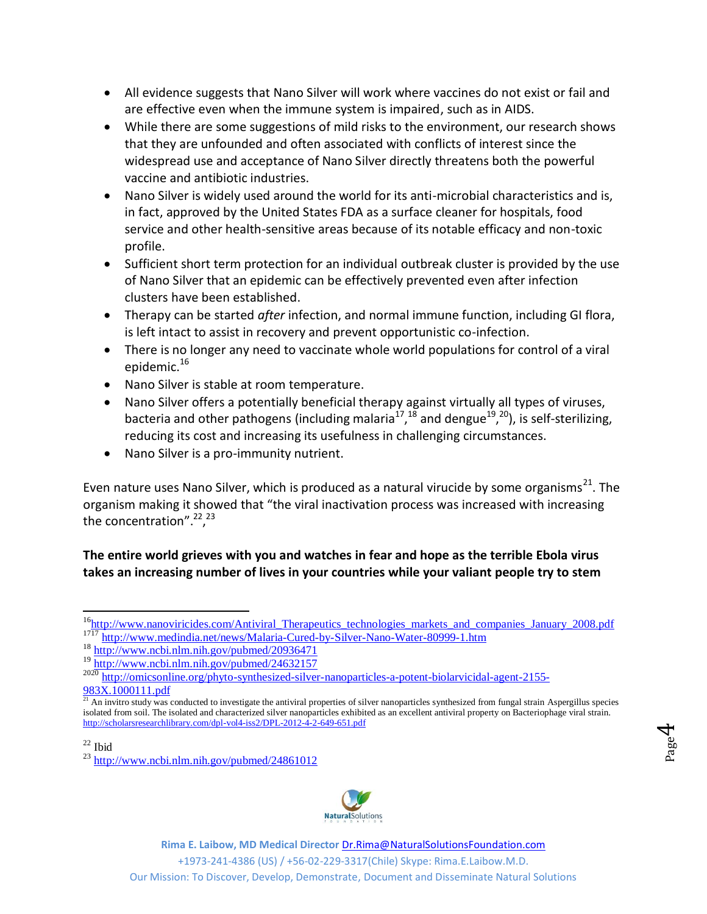- All evidence suggests that Nano Silver will work where vaccines do not exist or fail and are effective even when the immune system is impaired, such as in AIDS.
- While there are some suggestions of mild risks to the environment, our research shows that they are unfounded and often associated with conflicts of interest since the widespread use and acceptance of Nano Silver directly threatens both the powerful vaccine and antibiotic industries.
- Nano Silver is widely used around the world for its anti-microbial characteristics and is, in fact, approved by the United States FDA as a surface cleaner for hospitals, food service and other health-sensitive areas because of its notable efficacy and non-toxic profile.
- Sufficient short term protection for an individual outbreak cluster is provided by the use of Nano Silver that an epidemic can be effectively prevented even after infection clusters have been established.
- Therapy can be started *after* infection, and normal immune function, including GI flora, is left intact to assist in recovery and prevent opportunistic co-infection.
- There is no longer any need to vaccinate whole world populations for control of a viral epidemic.<sup>16</sup>
- Nano Silver is stable at room temperature.
- Nano Silver offers a potentially beneficial therapy against virtually all types of viruses, bacteria and other pathogens (including malaria<sup>17</sup>,<sup>18</sup> and dengue<sup>19</sup>,<sup>20</sup>), is self-sterilizing, reducing its cost and increasing its usefulness in challenging circumstances.
- Nano Silver is a pro-immunity nutrient.

Even nature uses Nano Silver, which is produced as a natural virucide by some organisms<sup>21</sup>. The organism making it showed that "the viral inactivation process was increased with increasing the concentration".<sup>22,23</sup>

# **The entire world grieves with you and watches in fear and hope as the terrible Ebola virus takes an increasing number of lives in your countries while your valiant people try to stem**

Page  $\mathcal{A}$ 

 $^{23}$  <http://www.ncbi.nlm.nih.gov/pubmed/24861012>



+1973-241-4386 (US) / +56-02-229-3317(Chile) Skype: Rima.E.Laibow.M.D.

 $\overline{a}$ <sup>16</sup>[http://www.nanoviricides.com/Antiviral\\_Therapeutics\\_technologies\\_markets\\_and\\_companies\\_January\\_2008.pdf](http://www.nanoviricides.com/Antiviral_Therapeutics_technologies_markets_and_companies_January_2008.pdf) <sup>1717</sup> <http://www.medindia.net/news/Malaria-Cured-by-Silver-Nano-Water-80999-1.htm>

<sup>18</sup> <http://www.ncbi.nlm.nih.gov/pubmed/20936471>

<sup>19</sup> <http://www.ncbi.nlm.nih.gov/pubmed/24632157>

<sup>2020</sup> [http://omicsonline.org/phyto-synthesized-silver-nanoparticles-a-potent-biolarvicidal-agent-2155-](http://omicsonline.org/phyto-synthesized-silver-nanoparticles-a-potent-biolarvicidal-agent-2155-983X.1000111.pdf) [983X.1000111.pdf](http://omicsonline.org/phyto-synthesized-silver-nanoparticles-a-potent-biolarvicidal-agent-2155-983X.1000111.pdf)

 $21$  An invitro study was conducted to investigate the antiviral properties of silver nanoparticles synthesized from fungal strain Aspergillus species isolated from soil. The isolated and characterized silver nanoparticles exhibited as an excellent antiviral property on Bacteriophage viral strain. <http://scholarsresearchlibrary.com/dpl-vol4-iss2/DPL-2012-4-2-649-651.pdf>

 $22$  Ibid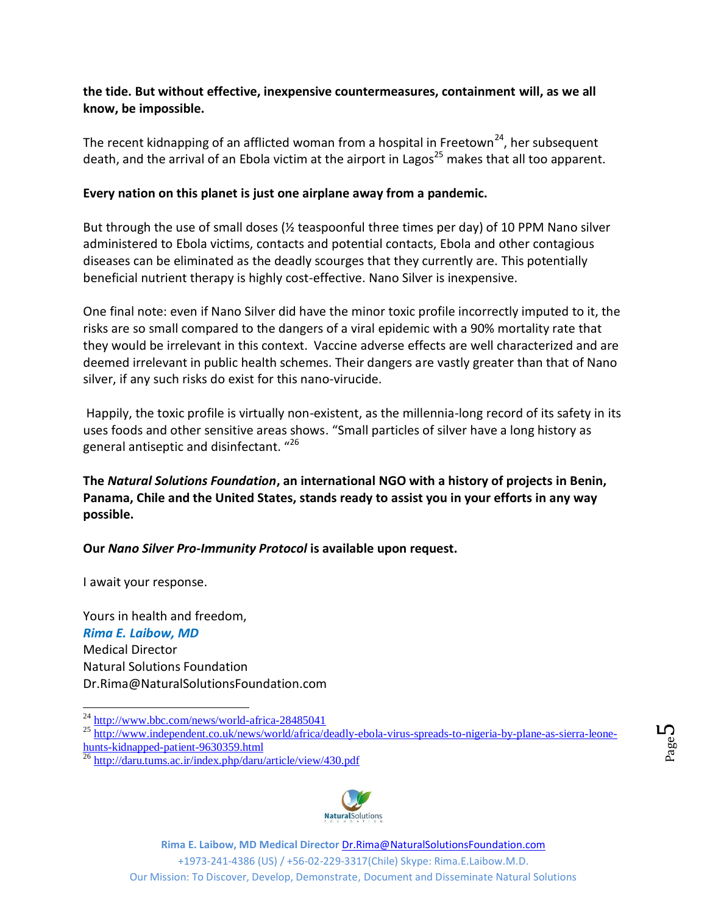# **the tide. But without effective, inexpensive countermeasures, containment will, as we all know, be impossible.**

The recent kidnapping of an afflicted woman from a hospital in Freetown<sup>24</sup>, her subsequent death, and the arrival of an Ebola victim at the airport in Lagos<sup>25</sup> makes that all too apparent.

## **Every nation on this planet is just one airplane away from a pandemic.**

But through the use of small doses (½ teaspoonful three times per day) of 10 PPM Nano silver administered to Ebola victims, contacts and potential contacts, Ebola and other contagious diseases can be eliminated as the deadly scourges that they currently are. This potentially beneficial nutrient therapy is highly cost-effective. Nano Silver is inexpensive.

One final note: even if Nano Silver did have the minor toxic profile incorrectly imputed to it, the risks are so small compared to the dangers of a viral epidemic with a 90% mortality rate that they would be irrelevant in this context. Vaccine adverse effects are well characterized and are deemed irrelevant in public health schemes. Their dangers are vastly greater than that of Nano silver, if any such risks do exist for this nano-virucide.

Happily, the toxic profile is virtually non-existent, as the millennia-long record of its safety in its uses foods and other sensitive areas shows. "Small particles of silver have a long history as general antiseptic and disinfectant. "<sup>26</sup>

**The** *Natural Solutions Foundation***, an international NGO with a history of projects in Benin, Panama, Chile and the United States, stands ready to assist you in your efforts in any way possible.**

**Our** *Nano Silver Pro-Immunity Protocol* **is available upon request.**

I await your response.

 $\overline{a}$ 

Yours in health and freedom, *Rima E. Laibow, MD* Medical Director Natural Solutions Foundation Dr.Rima@NaturalSolutionsFoundation.com

Page L∩

<sup>&</sup>lt;sup>26</sup> <http://daru.tums.ac.ir/index.php/daru/article/view/430.pdf>



+1973-241-4386 (US) / +56-02-229-3317(Chile) Skype: Rima.E.Laibow.M.D.

<sup>&</sup>lt;sup>24</sup> <http://www.bbc.com/news/world-africa-28485041> <sup>25</sup> [http://www.independent.co.uk/news/world/africa/deadly-ebola-virus-spreads-to-nigeria-by-plane-as-sierra-leone](http://www.independent.co.uk/news/world/africa/deadly-ebola-virus-spreads-to-nigeria-by-plane-as-sierra-leone-hunts-kidnapped-patient-9630359.html)[hunts-kidnapped-patient-9630359.html](http://www.independent.co.uk/news/world/africa/deadly-ebola-virus-spreads-to-nigeria-by-plane-as-sierra-leone-hunts-kidnapped-patient-9630359.html)